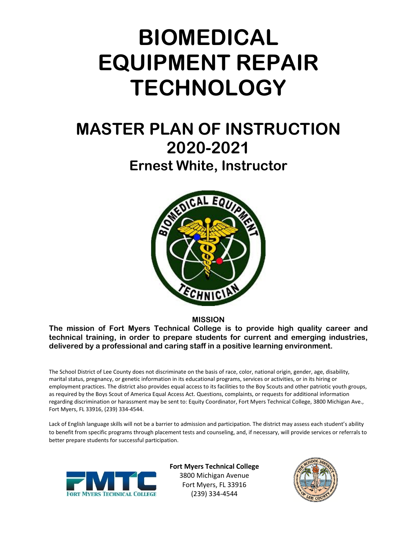# **BIOMEDICAL EQUIPMENT REPAIR TECHNOLOGY**

## **MASTER PLAN OF INSTRUCTION 2020-2021 Ernest White, Instructor**



**MISSION**

**The mission of Fort Myers Technical College is to provide high quality career and technical training, in order to prepare students for current and emerging industries, delivered by a professional and caring staff in a positive learning environment.**

The School District of Lee County does not discriminate on the basis of race, color, national origin, gender, age, disability, marital status, pregnancy, or genetic information in its educational programs, services or activities, or in its hiring or employment practices. The district also provides equal access to its facilities to the Boy Scouts and other patriotic youth groups, as required by the Boys Scout of America Equal Access Act. Questions, complaints, or requests for additional information regarding discrimination or harassment may be sent to: Equity Coordinator, Fort Myers Technical College, 3800 Michigan Ave., Fort Myers, FL 33916, (239) 334-4544.

Lack of English language skills will not be a barrier to admission and participation. The district may assess each student's ability to benefit from specific programs through placement tests and counseling, and, if necessary, will provide services or referrals to better prepare students for successful participation.



**Fort Myers Technical College** 3800 Michigan Avenue Fort Myers, FL 33916 (239) 334-4544

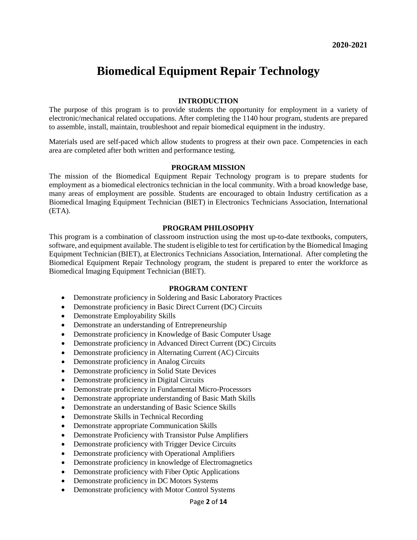### **Biomedical Equipment Repair Technology**

#### **INTRODUCTION**

The purpose of this program is to provide students the opportunity for employment in a variety of electronic/mechanical related occupations. After completing the 1140 hour program, students are prepared to assemble, install, maintain, troubleshoot and repair biomedical equipment in the industry.

Materials used are self-paced which allow students to progress at their own pace. Competencies in each area are completed after both written and performance testing.

#### **PROGRAM MISSION**

The mission of the Biomedical Equipment Repair Technology program is to prepare students for employment as a biomedical electronics technician in the local community. With a broad knowledge base, many areas of employment are possible. Students are encouraged to obtain Industry certification as a Biomedical Imaging Equipment Technician (BIET) in Electronics Technicians Association, International (ETA).

#### **PROGRAM PHILOSOPHY**

This program is a combination of classroom instruction using the most up-to-date textbooks, computers, software, and equipment available. The student is eligible to test for certification by the Biomedical Imaging Equipment Technician (BIET), at Electronics Technicians Association, International. After completing the Biomedical Equipment Repair Technology program, the student is prepared to enter the workforce as Biomedical Imaging Equipment Technician (BIET).

#### **PROGRAM CONTENT**

- Demonstrate proficiency in Soldering and Basic Laboratory Practices
- Demonstrate proficiency in Basic Direct Current (DC) Circuits
- Demonstrate Employability Skills
- Demonstrate an understanding of Entrepreneurship
- Demonstrate proficiency in Knowledge of Basic Computer Usage
- Demonstrate proficiency in Advanced Direct Current (DC) Circuits
- Demonstrate proficiency in Alternating Current (AC) Circuits
- Demonstrate proficiency in Analog Circuits
- Demonstrate proficiency in Solid State Devices
- Demonstrate proficiency in Digital Circuits
- Demonstrate proficiency in Fundamental Micro-Processors
- Demonstrate appropriate understanding of Basic Math Skills
- Demonstrate an understanding of Basic Science Skills
- Demonstrate Skills in Technical Recording
- Demonstrate appropriate Communication Skills
- Demonstrate Proficiency with Transistor Pulse Amplifiers
- Demonstrate proficiency with Trigger Device Circuits
- Demonstrate proficiency with Operational Amplifiers
- Demonstrate proficiency in knowledge of Electromagnetics
- Demonstrate proficiency with Fiber Optic Applications
- Demonstrate proficiency in DC Motors Systems
- Demonstrate proficiency with Motor Control Systems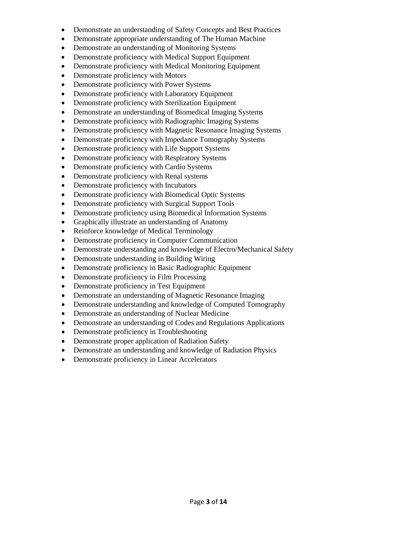- Demonstrate an understanding of Safety Concepts and Best Practices
- Demonstrate appropriate understanding of The Human Machine
- Demonstrate an understanding of Monitoring Systems
- Demonstrate proficiency with Medical Support Equipment
- Demonstrate proficiency with Medical Monitoring Equipment
- Demonstrate proficiency with Motors
- Demonstrate proficiency with Power Systems
- Demonstrate proficiency with Laboratory Equipment
- Demonstrate proficiency with Sterilization Equipment
- Demonstrate an understanding of Biomedical Imaging Systems
- Demonstrate proficiency with Radiographic Imaging Systems
- Demonstrate proficiency with Magnetic Resonance Imaging Systems
- Demonstrate proficiency with Impedance Tomography Systems
- Demonstrate proficiency with Life Support Systems
- Demonstrate proficiency with Respiratory Systems
- Demonstrate proficiency with Cardio Systems
- Demonstrate proficiency with Renal systems
- Demonstrate proficiency with Incubators
- Demonstrate proficiency with Biomedical Optic Systems
- Demonstrate proficiency with Surgical Support Tools
- Demonstrate proficiency using Biomedical Information Systems
- Graphically illustrate an understanding of Anatomy
- Reinforce knowledge of Medical Terminology
- Demonstrate proficiency in Computer Communication
- Demonstrate understanding and knowledge of Electro/Mechanical Safety
- Demonstrate understanding in Building Wiring
- Demonstrate proficiency in Basic Radiographic Equipment
- Demonstrate proficiency in Film Processing
- Demonstrate proficiency in Test Equipment
- Demonstrate an understanding of Magnetic Resonance Imaging
- Demonstrate understanding and knowledge of Computed Tomography
- Demonstrate an understanding of Nuclear Medicine
- Demonstrate an understanding of Codes and Regulations Applications
- Demonstrate proficiency in Troubleshooting
- Demonstrate proper application of Radiation Safety
- Demonstrate an understanding and knowledge of Radiation Physics
- Demonstrate proficiency in Linear Accelerators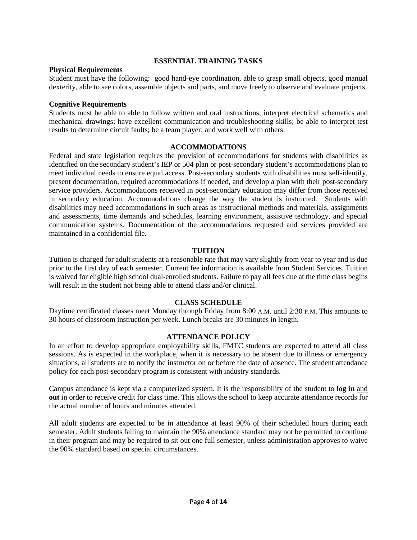#### **ESSENTIAL TRAINING TASKS**

#### **Physical Requirements**

Student must have the following: good hand-eye coordination, able to grasp small objects, good manual dexterity, able to see colors, assemble objects and parts, and move freely to observe and evaluate projects.

#### **Cognitive Requirements**

Students must be able to able to follow written and oral instructions; interpret electrical schematics and mechanical drawings; have excellent communication and troubleshooting skills; be able to interpret test results to determine circuit faults; be a team player; and work well with others.

#### **ACCOMMODATIONS**

Federal and state legislation requires the provision of accommodations for students with disabilities as identified on the secondary student's IEP or 504 plan or post-secondary student's accommodations plan to meet individual needs to ensure equal access. Post-secondary students with disabilities must self-identify, present documentation, required accommodations if needed, and develop a plan with their post-secondary service providers. Accommodations received in post-secondary education may differ from those received in secondary education. Accommodations change the way the student is instructed. Students with disabilities may need accommodations in such areas as instructional methods and materials, assignments and assessments, time demands and schedules, learning environment, assistive technology, and special communication systems. Documentation of the accommodations requested and services provided are maintained in a confidential file.

#### **TUITION**

Tuition is charged for adult students at a reasonable rate that may vary slightly from year to year and is due prior to the first day of each semester. Current fee information is available from Student Services. Tuition is waived for eligible high school dual-enrolled students. Failure to pay all fees due at the time class begins will result in the student not being able to attend class and/or clinical.

#### **CLASS SCHEDULE**

Daytime certificated classes meet Monday through Friday from 8:00 A.M. until 2:30 P.M. This amounts to 30 hours of classroom instruction per week. Lunch breaks are 30 minutes in length.

#### **ATTENDANCE POLICY**

In an effort to develop appropriate employability skills, FMTC students are expected to attend all class sessions. As is expected in the workplace, when it is necessary to be absent due to illness or emergency situations, all students are to notify the instructor on or before the date of absence. The student attendance policy for each post-secondary program is consistent with industry standards.

Campus attendance is kept via a computerized system. It is the responsibility of the student to **log in** and **out** in order to receive credit for class time. This allows the school to keep accurate attendance records for the actual number of hours and minutes attended.

All adult students are expected to be in attendance at least 90% of their scheduled hours during each semester. Adult students failing to maintain the 90% attendance standard may not be permitted to continue in their program and may be required to sit out one full semester, unless administration approves to waive the 90% standard based on special circumstances.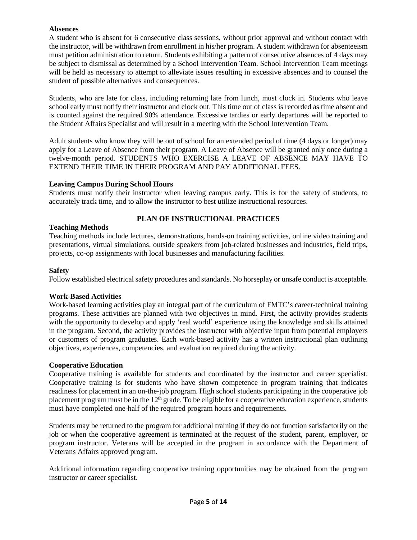#### **Absences**

A student who is absent for 6 consecutive class sessions, without prior approval and without contact with the instructor, will be withdrawn from enrollment in his/her program. A student withdrawn for absenteeism must petition administration to return. Students exhibiting a pattern of consecutive absences of 4 days may be subject to dismissal as determined by a School Intervention Team. School Intervention Team meetings will be held as necessary to attempt to alleviate issues resulting in excessive absences and to counsel the student of possible alternatives and consequences.

Students, who are late for class, including returning late from lunch, must clock in. Students who leave school early must notify their instructor and clock out. This time out of class is recorded as time absent and is counted against the required 90% attendance. Excessive tardies or early departures will be reported to the Student Affairs Specialist and will result in a meeting with the School Intervention Team.

Adult students who know they will be out of school for an extended period of time (4 days or longer) may apply for a Leave of Absence from their program. A Leave of Absence will be granted only once during a twelve-month period. STUDENTS WHO EXERCISE A LEAVE OF ABSENCE MAY HAVE TO EXTEND THEIR TIME IN THEIR PROGRAM AND PAY ADDITIONAL FEES.

#### **Leaving Campus During School Hours**

Students must notify their instructor when leaving campus early. This is for the safety of students, to accurately track time, and to allow the instructor to best utilize instructional resources.

#### **PLAN OF INSTRUCTIONAL PRACTICES**

#### **Teaching Methods**

Teaching methods include lectures, demonstrations, hands-on training activities, online video training and presentations, virtual simulations, outside speakers from job-related businesses and industries, field trips, projects, co-op assignments with local businesses and manufacturing facilities.

#### **Safety**

Follow established electrical safety procedures and standards. No horseplay or unsafe conduct is acceptable.

#### **Work-Based Activities**

Work-based learning activities play an integral part of the curriculum of FMTC's career-technical training programs. These activities are planned with two objectives in mind. First, the activity provides students with the opportunity to develop and apply 'real world' experience using the knowledge and skills attained in the program. Second, the activity provides the instructor with objective input from potential employers or customers of program graduates. Each work-based activity has a written instructional plan outlining objectives, experiences, competencies, and evaluation required during the activity.

#### **Cooperative Education**

Cooperative training is available for students and coordinated by the instructor and career specialist. Cooperative training is for students who have shown competence in program training that indicates readiness for placement in an on-the-job program. High school students participating in the cooperative job placement program must be in the  $12<sup>th</sup>$  grade. To be eligible for a cooperative education experience, students must have completed one-half of the required program hours and requirements.

Students may be returned to the program for additional training if they do not function satisfactorily on the job or when the cooperative agreement is terminated at the request of the student, parent, employer, or program instructor. Veterans will be accepted in the program in accordance with the Department of Veterans Affairs approved program.

Additional information regarding cooperative training opportunities may be obtained from the program instructor or career specialist.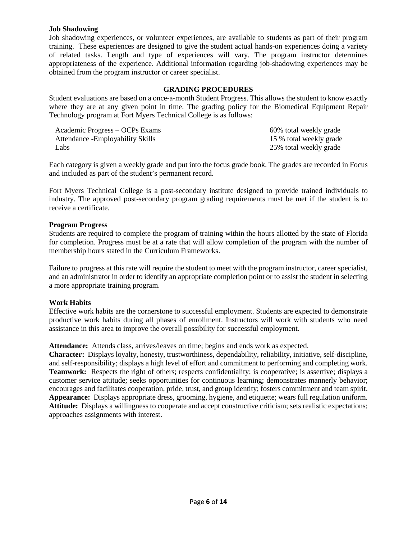#### **Job Shadowing**

Job shadowing experiences, or volunteer experiences, are available to students as part of their program training. These experiences are designed to give the student actual hands-on experiences doing a variety of related tasks. Length and type of experiences will vary. The program instructor determines appropriateness of the experience. Additional information regarding job-shadowing experiences may be obtained from the program instructor or career specialist.

#### **GRADING PROCEDURES**

Student evaluations are based on a once-a-month Student Progress. This allows the student to know exactly where they are at any given point in time. The grading policy for the Biomedical Equipment Repair Technology program at Fort Myers Technical College is as follows:

| Academic Progress – OCPs Exams    | 60% total weekly grade  |
|-----------------------------------|-------------------------|
| Attendance - Employability Skills | 15 % total weekly grade |
| Labs                              | 25% total weekly grade  |

Each category is given a weekly grade and put into the focus grade book. The grades are recorded in Focus and included as part of the student's permanent record.

Fort Myers Technical College is a post-secondary institute designed to provide trained individuals to industry. The approved post-secondary program grading requirements must be met if the student is to receive a certificate.

#### **Program Progress**

Students are required to complete the program of training within the hours allotted by the state of Florida for completion. Progress must be at a rate that will allow completion of the program with the number of membership hours stated in the Curriculum Frameworks.

Failure to progress at this rate will require the student to meet with the program instructor, career specialist, and an administrator in order to identify an appropriate completion point or to assist the student in selecting a more appropriate training program.

#### **Work Habits**

Effective work habits are the cornerstone to successful employment. Students are expected to demonstrate productive work habits during all phases of enrollment. Instructors will work with students who need assistance in this area to improve the overall possibility for successful employment.

**Attendance:** Attends class, arrives/leaves on time; begins and ends work as expected.

**Character:** Displays loyalty, honesty, trustworthiness, dependability, reliability, initiative, self-discipline, and self-responsibility; displays a high level of effort and commitment to performing and completing work. **Teamwork:** Respects the right of others; respects confidentiality; is cooperative; is assertive; displays a customer service attitude; seeks opportunities for continuous learning; demonstrates mannerly behavior; encourages and facilitates cooperation, pride, trust, and group identity; fosters commitment and team spirit. **Appearance:** Displays appropriate dress, grooming, hygiene, and etiquette; wears full regulation uniform. **Attitude:** Displays a willingness to cooperate and accept constructive criticism; sets realistic expectations; approaches assignments with interest.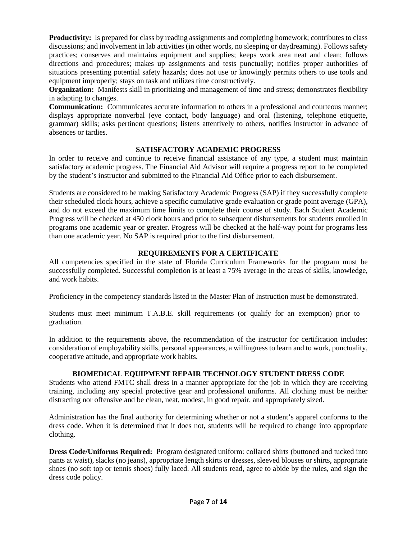**Productivity:** Is prepared for class by reading assignments and completing homework; contributes to class discussions; and involvement in lab activities (in other words, no sleeping or daydreaming). Follows safety practices; conserves and maintains equipment and supplies; keeps work area neat and clean; follows directions and procedures; makes up assignments and tests punctually; notifies proper authorities of situations presenting potential safety hazards; does not use or knowingly permits others to use tools and equipment improperly; stays on task and utilizes time constructively.

**Organization:** Manifests skill in prioritizing and management of time and stress; demonstrates flexibility in adapting to changes.

**Communication:** Communicates accurate information to others in a professional and courteous manner; displays appropriate nonverbal (eye contact, body language) and oral (listening, telephone etiquette, grammar) skills; asks pertinent questions; listens attentively to others, notifies instructor in advance of absences or tardies.

#### **SATISFACTORY ACADEMIC PROGRESS**

In order to receive and continue to receive financial assistance of any type, a student must maintain satisfactory academic progress. The Financial Aid Advisor will require a progress report to be completed by the student's instructor and submitted to the Financial Aid Office prior to each disbursement.

Students are considered to be making Satisfactory Academic Progress (SAP) if they successfully complete their scheduled clock hours, achieve a specific cumulative grade evaluation or grade point average (GPA), and do not exceed the maximum time limits to complete their course of study. Each Student Academic Progress will be checked at 450 clock hours and prior to subsequent disbursements for students enrolled in programs one academic year or greater. Progress will be checked at the half-way point for programs less than one academic year. No SAP is required prior to the first disbursement.

#### **REQUIREMENTS FOR A CERTIFICATE**

All competencies specified in the state of Florida Curriculum Frameworks for the program must be successfully completed. Successful completion is at least a 75% average in the areas of skills, knowledge, and work habits.

Proficiency in the competency standards listed in the Master Plan of Instruction must be demonstrated.

Students must meet minimum T.A.B.E. skill requirements (or qualify for an exemption) prior to graduation.

In addition to the requirements above, the recommendation of the instructor for certification includes: consideration of employability skills, personal appearances, a willingness to learn and to work, punctuality, cooperative attitude, and appropriate work habits.

#### **BIOMEDICAL EQUIPMENT REPAIR TECHNOLOGY STUDENT DRESS CODE**

Students who attend FMTC shall dress in a manner appropriate for the job in which they are receiving training, including any special protective gear and professional uniforms. All clothing must be neither distracting nor offensive and be clean, neat, modest, in good repair, and appropriately sized.

Administration has the final authority for determining whether or not a student's apparel conforms to the dress code. When it is determined that it does not, students will be required to change into appropriate clothing.

**Dress Code/Uniforms Required:** Program designated uniform: collared shirts (buttoned and tucked into pants at waist), slacks (no jeans), appropriate length skirts or dresses, sleeved blouses or shirts, appropriate shoes (no soft top or tennis shoes) fully laced. All students read, agree to abide by the rules, and sign the dress code policy.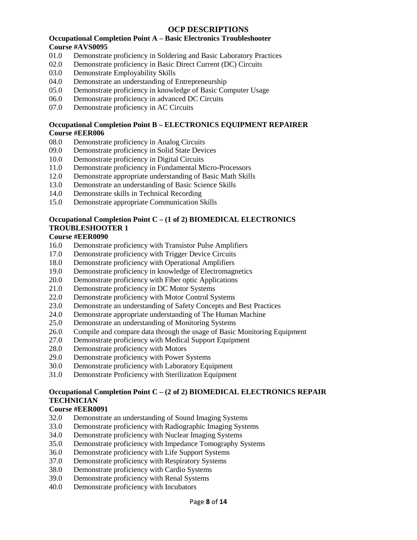#### **OCP DESCRIPTIONS**

#### **Occupational Completion Point A – Basic Electronics Troubleshooter Course #AVS0095**

- 01.0 Demonstrate proficiency in Soldering and Basic Laboratory Practices
- 02.0 Demonstrate proficiency in Basic Direct Current (DC) Circuits
- 03.0 Demonstrate Employability Skills
- 04.0 Demonstrate an understanding of Entrepreneurship
- 05.0 Demonstrate proficiency in knowledge of Basic Computer Usage
- 06.0 Demonstrate proficiency in advanced DC Circuits
- 07.0 Demonstrate proficiency in AC Circuits

#### **Occupational Completion Point B – ELECTRONICS EQUIPMENT REPAIRER Course #EER006**

- 08.0 Demonstrate proficiency in Analog Circuits
- 09.0 Demonstrate proficiency in Solid State Devices
- 10.0 Demonstrate proficiency in Digital Circuits
- 11.0 Demonstrate proficiency in Fundamental Micro-Processors
- 12.0 Demonstrate appropriate understanding of Basic Math Skills
- 13.0 Demonstrate an understanding of Basic Science Skills
- 14.0 Demonstrate skills in Technical Recording
- 15.0 Demonstrate appropriate Communication Skills

#### **Occupational Completion Point C – (1 of 2) BIOMEDICAL ELECTRONICS TROUBLESHOOTER 1**

#### **Course #EER0090**

- 16.0 Demonstrate proficiency with Transistor Pulse Amplifiers
- 17.0 Demonstrate proficiency with Trigger Device Circuits
- 18.0 Demonstrate proficiency with Operational Amplifiers
- 19.0 Demonstrate proficiency in knowledge of Electromagnetics
- 20.0 Demonstrate proficiency with Fiber optic Applications
- 21.0 Demonstrate proficiency in DC Motor Systems
- 22.0 Demonstrate proficiency with Motor Control Systems
- 23.0 Demonstrate an understanding of Safety Concepts and Best Practices
- 24.0 Demonstrate appropriate understanding of The Human Machine
- 25.0 Demonstrate an understanding of Monitoring Systems
- 26.0 Compile and compare data through the usage of Basic Monitoring Equipment
- 27.0 Demonstrate proficiency with Medical Support Equipment
- 28.0 Demonstrate proficiency with Motors
- 29.0 Demonstrate proficiency with Power Systems
- 30.0 Demonstrate proficiency with Laboratory Equipment
- 31.0 Demonstrate Proficiency with Sterilization Equipment

#### **Occupational Completion Point C – (2 of 2) BIOMEDICAL ELECTRONICS REPAIR TECHNICIAN**

#### **Course #EER0091**

- 32.0 Demonstrate an understanding of Sound Imaging Systems
- 33.0 Demonstrate proficiency with Radiographic Imaging Systems
- 34.0 Demonstrate proficiency with Nuclear Imaging Systems
- 35.0 Demonstrate proficiency with Impedance Tomography Systems
- 36.0 Demonstrate proficiency with Life Support Systems
- 37.0 Demonstrate proficiency with Respiratory Systems
- 38.0 Demonstrate proficiency with Cardio Systems
- 39.0 Demonstrate proficiency with Renal Systems
- 40.0 Demonstrate proficiency with Incubators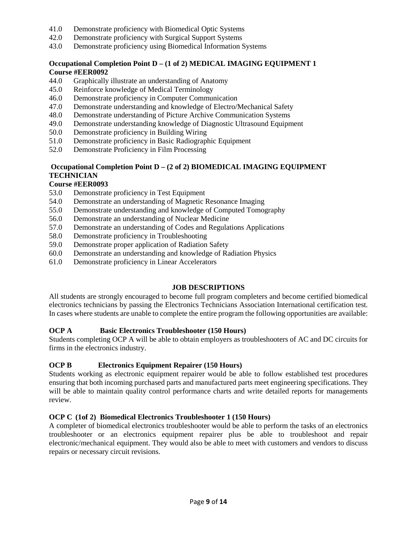- 41.0 Demonstrate proficiency with Biomedical Optic Systems
- 42.0 Demonstrate proficiency with Surgical Support Systems
- 43.0 Demonstrate proficiency using Biomedical Information Systems

#### **Occupational Completion Point D – (1 of 2) MEDICAL IMAGING EQUIPMENT 1 Course #EER0092**

- 44.0 Graphically illustrate an understanding of Anatomy
- 45.0 Reinforce knowledge of Medical Terminology
- 46.0 Demonstrate proficiency in Computer Communication
- 47.0 Demonstrate understanding and knowledge of Electro/Mechanical Safety
- 48.0 Demonstrate understanding of Picture Archive Communication Systems
- 49.0 Demonstrate understanding knowledge of Diagnostic Ultrasound Equipment
- 50.0 Demonstrate proficiency in Building Wiring
- 51.0 Demonstrate proficiency in Basic Radiographic Equipment
- 52.0 Demonstrate Proficiency in Film Processing

#### **Occupational Completion Point D – (2 of 2) BIOMEDICAL IMAGING EQUIPMENT TECHNICIAN**

#### **Course #EER0093**

- 53.0 Demonstrate proficiency in Test Equipment
- 54.0 Demonstrate an understanding of Magnetic Resonance Imaging
- 55.0 Demonstrate understanding and knowledge of Computed Tomography
- 56.0 Demonstrate an understanding of Nuclear Medicine
- 57.0 Demonstrate an understanding of Codes and Regulations Applications
- 58.0 Demonstrate proficiency in Troubleshooting
- 59.0 Demonstrate proper application of Radiation Safety
- 60.0 Demonstrate an understanding and knowledge of Radiation Physics
- 61.0 Demonstrate proficiency in Linear Accelerators

#### **JOB DESCRIPTIONS**

All students are strongly encouraged to become full program completers and become certified biomedical electronics technicians by passing the Electronics Technicians Association International certification test. In cases where students are unable to complete the entire program the following opportunities are available:

#### **OCP A Basic Electronics Troubleshooter (150 Hours)**

Students completing OCP A will be able to obtain employers as troubleshooters of AC and DC circuits for firms in the electronics industry.

#### **OCP B Electronics Equipment Repairer (150 Hours)**

Students working as electronic equipment repairer would be able to follow established test procedures ensuring that both incoming purchased parts and manufactured parts meet engineering specifications. They will be able to maintain quality control performance charts and write detailed reports for managements review.

#### **OCP C (1of 2) Biomedical Electronics Troubleshooter 1 (150 Hours)**

A completer of biomedical electronics troubleshooter would be able to perform the tasks of an electronics troubleshooter or an electronics equipment repairer plus be able to troubleshoot and repair electronic/mechanical equipment. They would also be able to meet with customers and vendors to discuss repairs or necessary circuit revisions.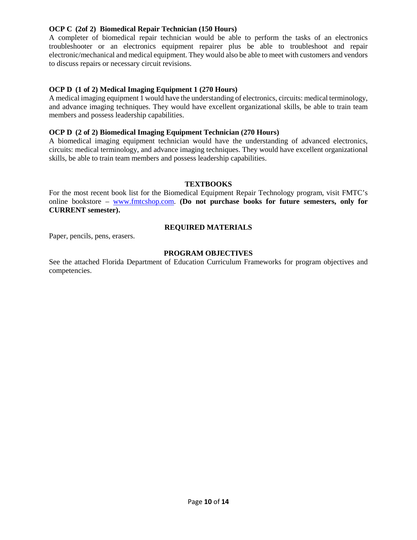#### **OCP C (2of 2) Biomedical Repair Technician (150 Hours)**

A completer of biomedical repair technician would be able to perform the tasks of an electronics troubleshooter or an electronics equipment repairer plus be able to troubleshoot and repair electronic/mechanical and medical equipment. They would also be able to meet with customers and vendors to discuss repairs or necessary circuit revisions.

#### **OCP D (1 of 2) Medical Imaging Equipment 1 (270 Hours)**

A medical imaging equipment 1 would have the understanding of electronics, circuits: medical terminology, and advance imaging techniques. They would have excellent organizational skills, be able to train team members and possess leadership capabilities.

#### **OCP D (2 of 2) Biomedical Imaging Equipment Technician (270 Hours)**

A biomedical imaging equipment technician would have the understanding of advanced electronics, circuits: medical terminology, and advance imaging techniques. They would have excellent organizational skills, be able to train team members and possess leadership capabilities.

#### **TEXTBOOKS**

For the most recent book list for the Biomedical Equipment Repair Technology program, visit FMTC's online bookstore – [www.fmtcshop.com.](http://www.fmtcshop.com/) **(Do not purchase books for future semesters, only for CURRENT semester).**

#### **REQUIRED MATERIALS**

Paper, pencils, pens, erasers.

#### **PROGRAM OBJECTIVES**

See the attached Florida Department of Education Curriculum Frameworks for program objectives and competencies.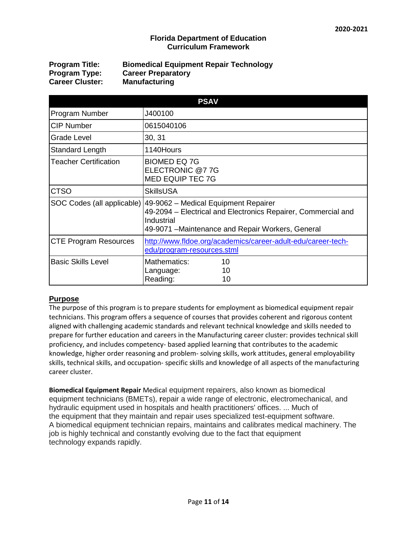#### **Florida Department of Education Curriculum Framework**

| <b>Program Title:</b>  | <b>Biomedical Equipment Repair Technology</b> |
|------------------------|-----------------------------------------------|
| <b>Program Type:</b>   | <b>Career Preparatory</b>                     |
| <b>Career Cluster:</b> | <b>Manufacturing</b>                          |

| <b>PSAV</b>                  |                                                                                                                                                                          |  |  |  |
|------------------------------|--------------------------------------------------------------------------------------------------------------------------------------------------------------------------|--|--|--|
| Program Number               | J400100                                                                                                                                                                  |  |  |  |
| <b>CIP Number</b>            | 0615040106                                                                                                                                                               |  |  |  |
| Grade Level                  | 30, 31                                                                                                                                                                   |  |  |  |
| Standard Length              | 1140Hours                                                                                                                                                                |  |  |  |
| <b>Teacher Certification</b> | <b>BIOMED EQ 7G</b><br>ELECTRONIC @77G<br><b>MED EQUIP TEC 7G</b>                                                                                                        |  |  |  |
| <b>CTSO</b>                  | <b>SkillsUSA</b>                                                                                                                                                         |  |  |  |
| SOC Codes (all applicable)   | 49-9062 – Medical Equipment Repairer<br>49-2094 – Electrical and Electronics Repairer, Commercial and<br>Industrial<br>49-9071 – Maintenance and Repair Workers, General |  |  |  |
| <b>CTE Program Resources</b> | http://www.fldoe.org/academics/career-adult-edu/career-tech-<br>edu/program-resources.stml                                                                               |  |  |  |
| <b>Basic Skills Level</b>    | Mathematics:<br>10<br>10<br>Language:<br>Reading:<br>10                                                                                                                  |  |  |  |

#### **Purpose**

The purpose of this program is to prepare students for employment as biomedical equipment repair technicians. This program offers a sequence of courses that provides coherent and rigorous content aligned with challenging academic standards and relevant technical knowledge and skills needed to prepare for further education and careers in the Manufacturing career cluster: provides technical skill proficiency, and includes competency- based applied learning that contributes to the academic knowledge, higher order reasoning and problem- solving skills, work attitudes, general employability skills, technical skills, and occupation- specific skills and knowledge of all aspects of the manufacturing career cluster.

**Biomedical Equipment Repair** Medical equipment repairers, also known as biomedical equipment technicians (BMETs), **r**epair a wide range of electronic, electromechanical, and hydraulic equipment used in hospitals and health practitioners' offices. ... Much of the equipment that they maintain and repair uses specialized test-equipment software. A biomedical equipment technician repairs, maintains and calibrates medical machinery. The job is highly technical and constantly evolving due to the fact that equipment technology expands rapidly.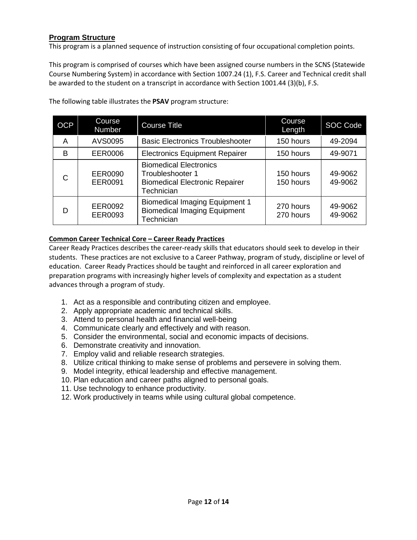#### **Program Structure**

This program is a planned sequence of instruction consisting of four occupational completion points.

This program is comprised of courses which have been assigned course numbers in the SCNS (Statewide Course Numbering System) in accordance with Section 1007.24 (1), F.S. Career and Technical credit shall be awarded to the student on a transcript in accordance with Section 1001.44 (3)(b), F.S.

| <b>OCP</b> | Course<br>Number                 | <b>Course Title</b>                                                                                      | Course<br>Length       | <b>SOC Code</b>    |
|------------|----------------------------------|----------------------------------------------------------------------------------------------------------|------------------------|--------------------|
| Α          | AVS0095                          | <b>Basic Electronics Troubleshooter</b>                                                                  | 150 hours              | 49-2094            |
| B          | <b>EER0006</b>                   | <b>Electronics Equipment Repairer</b>                                                                    | 150 hours              | 49-9071            |
| C          | <b>EER0090</b><br><b>EER0091</b> | <b>Biomedical Electronics</b><br>Troubleshooter 1<br><b>Biomedical Electronic Repairer</b><br>Technician | 150 hours<br>150 hours | 49-9062<br>49-9062 |
| D          | EER0092<br>EER0093               | <b>Biomedical Imaging Equipment 1</b><br><b>Biomedical Imaging Equipment</b><br>Technician               | 270 hours<br>270 hours | 49-9062<br>49-9062 |

The following table illustrates the **PSAV** program structure:

#### **Common Career Technical Core – Career Ready Practices**

Career Ready Practices describes the career-ready skills that educators should seek to develop in their students. These practices are not exclusive to a Career Pathway, program of study, discipline or level of education. Career Ready Practices should be taught and reinforced in all career exploration and preparation programs with increasingly higher levels of complexity and expectation as a student advances through a program of study.

- 1. Act as a responsible and contributing citizen and employee.
- 2. Apply appropriate academic and technical skills.
- 3. Attend to personal health and financial well-being
- 4. Communicate clearly and effectively and with reason.
- 5. Consider the environmental, social and economic impacts of decisions.
- 6. Demonstrate creativity and innovation.
- 7. Employ valid and reliable research strategies.
- 8. Utilize critical thinking to make sense of problems and persevere in solving them.
- 9. Model integrity, ethical leadership and effective management.
- 10. Plan education and career paths aligned to personal goals.
- 11. Use technology to enhance productivity.
- 12. Work productively in teams while using cultural global competence.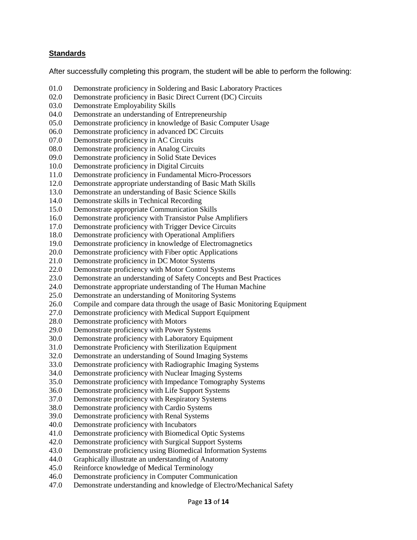#### **Standards**

After successfully completing this program, the student will be able to perform the following:

- 01.0 Demonstrate proficiency in Soldering and Basic Laboratory Practices
- 02.0 Demonstrate proficiency in Basic Direct Current (DC) Circuits
- 03.0 Demonstrate Employability Skills
- 04.0 Demonstrate an understanding of Entrepreneurship
- 05.0 Demonstrate proficiency in knowledge of Basic Computer Usage
- 06.0 Demonstrate proficiency in advanced DC Circuits
- 07.0 Demonstrate proficiency in AC Circuits
- 08.0 Demonstrate proficiency in Analog Circuits
- 09.0 Demonstrate proficiency in Solid State Devices
- 10.0 Demonstrate proficiency in Digital Circuits
- 11.0 Demonstrate proficiency in Fundamental Micro-Processors
- 12.0 Demonstrate appropriate understanding of Basic Math Skills
- 13.0 Demonstrate an understanding of Basic Science Skills
- 14.0 Demonstrate skills in Technical Recording
- 15.0 Demonstrate appropriate Communication Skills
- 16.0 Demonstrate proficiency with Transistor Pulse Amplifiers
- 17.0 Demonstrate proficiency with Trigger Device Circuits
- 18.0 Demonstrate proficiency with Operational Amplifiers
- 19.0 Demonstrate proficiency in knowledge of Electromagnetics
- 20.0 Demonstrate proficiency with Fiber optic Applications
- 21.0 Demonstrate proficiency in DC Motor Systems
- 22.0 Demonstrate proficiency with Motor Control Systems
- 23.0 Demonstrate an understanding of Safety Concepts and Best Practices
- 24.0 Demonstrate appropriate understanding of The Human Machine
- 25.0 Demonstrate an understanding of Monitoring Systems
- 26.0 Compile and compare data through the usage of Basic Monitoring Equipment
- 27.0 Demonstrate proficiency with Medical Support Equipment
- 28.0 Demonstrate proficiency with Motors
- 29.0 Demonstrate proficiency with Power Systems
- 30.0 Demonstrate proficiency with Laboratory Equipment
- 31.0 Demonstrate Proficiency with Sterilization Equipment
- 32.0 Demonstrate an understanding of Sound Imaging Systems
- 33.0 Demonstrate proficiency with Radiographic Imaging Systems
- 34.0 Demonstrate proficiency with Nuclear Imaging Systems
- 35.0 Demonstrate proficiency with Impedance Tomography Systems
- 36.0 Demonstrate proficiency with Life Support Systems
- 37.0 Demonstrate proficiency with Respiratory Systems
- 38.0 Demonstrate proficiency with Cardio Systems
- 39.0 Demonstrate proficiency with Renal Systems
- 40.0 Demonstrate proficiency with Incubators
- 41.0 Demonstrate proficiency with Biomedical Optic Systems
- 42.0 Demonstrate proficiency with Surgical Support Systems
- 43.0 Demonstrate proficiency using Biomedical Information Systems
- 44.0 Graphically illustrate an understanding of Anatomy
- 45.0 Reinforce knowledge of Medical Terminology
- 46.0 Demonstrate proficiency in Computer Communication
- 47.0 Demonstrate understanding and knowledge of Electro/Mechanical Safety